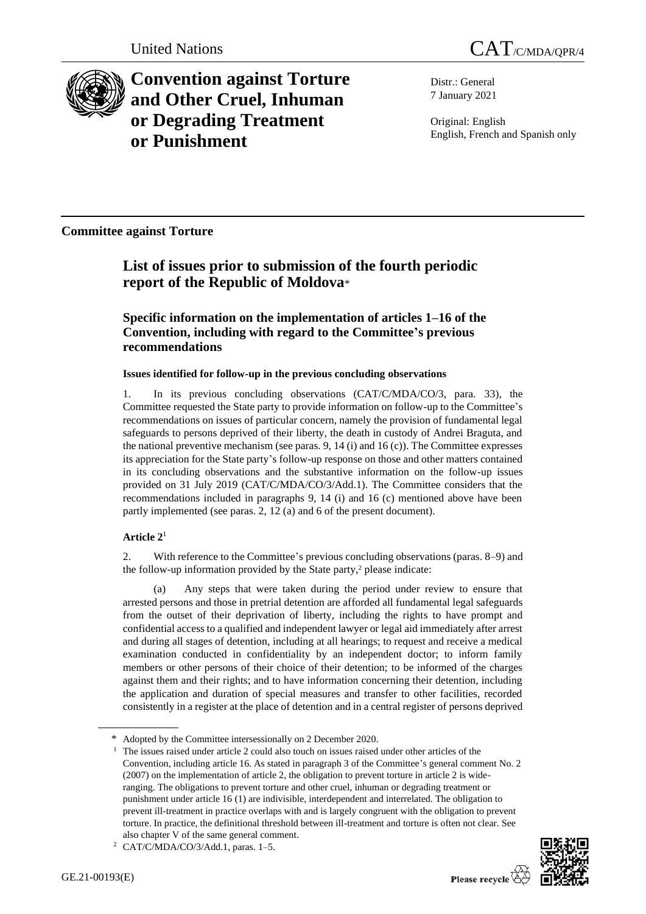

**Convention against Torture and Other Cruel, Inhuman or Degrading Treatment or Punishment**

Distr.: General 7 January 2021

Original: English English, French and Spanish only

**Committee against Torture**

# **List of issues prior to submission of the fourth periodic report of the Republic of Moldova**\*

# **Specific information on the implementation of articles 1–16 of the Convention, including with regard to the Committee's previous recommendations**

## **Issues identified for follow-up in the previous concluding observations**

1. In its previous concluding observations (CAT/C/MDA/CO/3, para. 33), the Committee requested the State party to provide information on follow-up to the Committee's recommendations on issues of particular concern, namely the provision of fundamental legal safeguards to persons deprived of their liberty, the death in custody of Andrei Braguta, and the national preventive mechanism (see paras. 9, 14 (i) and 16 (c)). The Committee expresses its appreciation for the State party's follow-up response on those and other matters contained in its concluding observations and the substantive information on the follow-up issues provided on 31 July 2019 (CAT/C/MDA/CO/3/Add.1). The Committee considers that the recommendations included in paragraphs 9, 14 (i) and 16 (c) mentioned above have been partly implemented (see paras. 2, 12 (a) and 6 of the present document).

# **Article 2**<sup>1</sup>

2. With reference to the Committee's previous concluding observations (paras. 8–9) and the follow-up information provided by the State party, $2$  please indicate:

(a) Any steps that were taken during the period under review to ensure that arrested persons and those in pretrial detention are afforded all fundamental legal safeguards from the outset of their deprivation of liberty, including the rights to have prompt and confidential access to a qualified and independent lawyer or legal aid immediately after arrest and during all stages of detention, including at all hearings; to request and receive a medical examination conducted in confidentiality by an independent doctor; to inform family members or other persons of their choice of their detention; to be informed of the charges against them and their rights; and to have information concerning their detention, including the application and duration of special measures and transfer to other facilities, recorded consistently in a register at the place of detention and in a central register of persons deprived

<sup>\*</sup> Adopted by the Committee intersessionally on 2 December 2020.

<sup>&</sup>lt;sup>1</sup> The issues raised under article 2 could also touch on issues raised under other articles of the Convention, including article 16. As stated in paragraph 3 of the Committee's general comment No. 2 (2007) on the implementation of article 2, the obligation to prevent torture in article 2 is wideranging. The obligations to prevent torture and other cruel, inhuman or degrading treatment or punishment under article 16 (1) are indivisible, interdependent and interrelated. The obligation to prevent ill-treatment in practice overlaps with and is largely congruent with the obligation to prevent torture. In practice, the definitional threshold between ill-treatment and torture is often not clear. See also chapter V of the same general comment.

<sup>2</sup> CAT/C/MDA/CO/3/Add.1, paras. 1–5.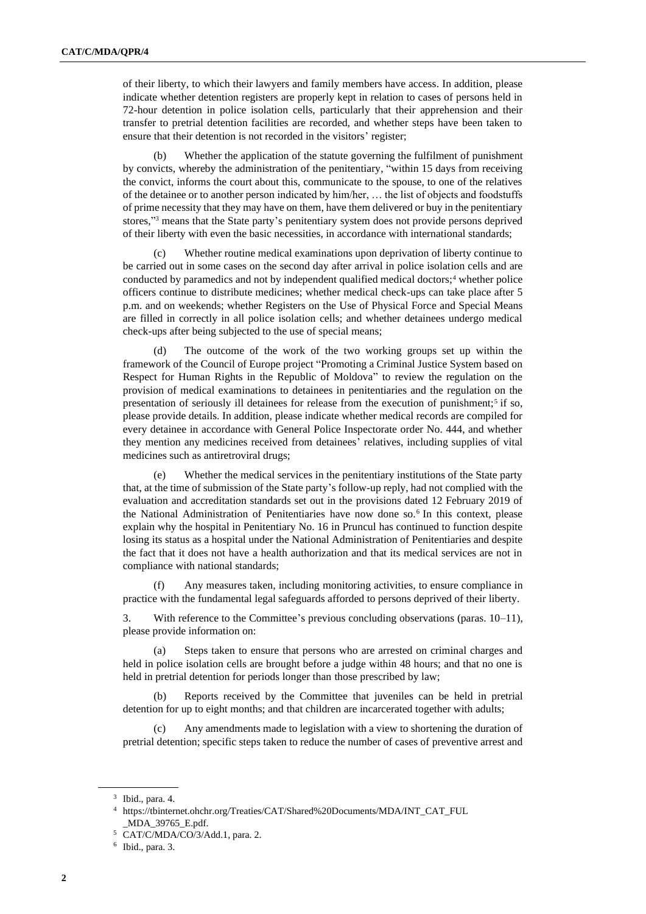of their liberty, to which their lawyers and family members have access. In addition, please indicate whether detention registers are properly kept in relation to cases of persons held in 72-hour detention in police isolation cells, particularly that their apprehension and their transfer to pretrial detention facilities are recorded, and whether steps have been taken to ensure that their detention is not recorded in the visitors' register;

(b) Whether the application of the statute governing the fulfilment of punishment by convicts, whereby the administration of the penitentiary, "within 15 days from receiving the convict, informs the court about this, communicate to the spouse, to one of the relatives of the detainee or to another person indicated by him/her, … the list of objects and foodstuffs of prime necessity that they may have on them, have them delivered or buy in the penitentiary stores," <sup>3</sup> means that the State party's penitentiary system does not provide persons deprived of their liberty with even the basic necessities, in accordance with international standards;

(c) Whether routine medical examinations upon deprivation of liberty continue to be carried out in some cases on the second day after arrival in police isolation cells and are conducted by paramedics and not by independent qualified medical doctors;<sup>4</sup> whether police officers continue to distribute medicines; whether medical check-ups can take place after 5 p.m. and on weekends; whether Registers on the Use of Physical Force and Special Means are filled in correctly in all police isolation cells; and whether detainees undergo medical check-ups after being subjected to the use of special means;

(d) The outcome of the work of the two working groups set up within the framework of the Council of Europe project "Promoting a Criminal Justice System based on Respect for Human Rights in the Republic of Moldova" to review the regulation on the provision of medical examinations to detainees in penitentiaries and the regulation on the presentation of seriously ill detainees for release from the execution of punishment;<sup>5</sup> if so, please provide details. In addition, please indicate whether medical records are compiled for every detainee in accordance with General Police Inspectorate order No. 444, and whether they mention any medicines received from detainees' relatives, including supplies of vital medicines such as antiretroviral drugs;

(e) Whether the medical services in the penitentiary institutions of the State party that, at the time of submission of the State party's follow-up reply, had not complied with the evaluation and accreditation standards set out in the provisions dated 12 February 2019 of the National Administration of Penitentiaries have now done so.<sup>6</sup> In this context, please explain why the hospital in Penitentiary No. 16 in Pruncul has continued to function despite losing its status as a hospital under the National Administration of Penitentiaries and despite the fact that it does not have a health authorization and that its medical services are not in compliance with national standards;

(f) Any measures taken, including monitoring activities, to ensure compliance in practice with the fundamental legal safeguards afforded to persons deprived of their liberty.

3. With reference to the Committee's previous concluding observations (paras. 10–11), please provide information on:

Steps taken to ensure that persons who are arrested on criminal charges and held in police isolation cells are brought before a judge within 48 hours; and that no one is held in pretrial detention for periods longer than those prescribed by law;

(b) Reports received by the Committee that juveniles can be held in pretrial detention for up to eight months; and that children are incarcerated together with adults;

(c) Any amendments made to legislation with a view to shortening the duration of pretrial detention; specific steps taken to reduce the number of cases of preventive arrest and

 $3$  Ibid., para. 4.

 $^4\;$ https://tbinternet.ohchr.org/Treaties/CAT/Shared%20Documents/MDA/INT\_CAT\_FUL \_MDA\_39765\_E.pdf.

<sup>5</sup> CAT/C/MDA/CO/3/Add.1, para. 2.

<sup>6</sup> Ibid., para. 3.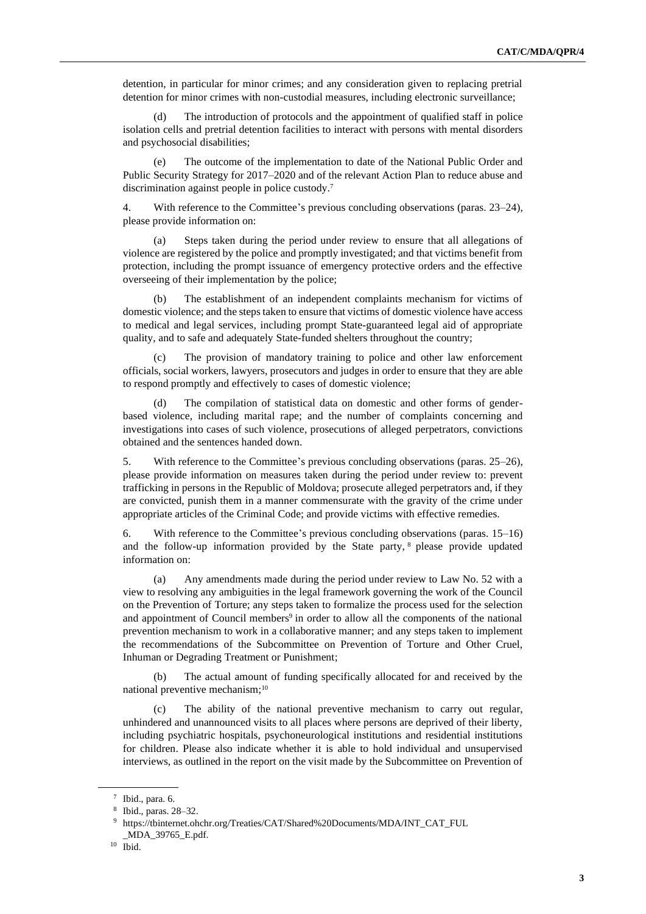detention, in particular for minor crimes; and any consideration given to replacing pretrial detention for minor crimes with non-custodial measures, including electronic surveillance;

(d) The introduction of protocols and the appointment of qualified staff in police isolation cells and pretrial detention facilities to interact with persons with mental disorders and psychosocial disabilities;

(e) The outcome of the implementation to date of the National Public Order and Public Security Strategy for 2017–2020 and of the relevant Action Plan to reduce abuse and discrimination against people in police custody.<sup>7</sup>

4. With reference to the Committee's previous concluding observations (paras. 23–24), please provide information on:

Steps taken during the period under review to ensure that all allegations of violence are registered by the police and promptly investigated; and that victims benefit from protection, including the prompt issuance of emergency protective orders and the effective overseeing of their implementation by the police;

(b) The establishment of an independent complaints mechanism for victims of domestic violence; and the steps taken to ensure that victims of domestic violence have access to medical and legal services, including prompt State-guaranteed legal aid of appropriate quality, and to safe and adequately State-funded shelters throughout the country;

(c) The provision of mandatory training to police and other law enforcement officials, social workers, lawyers, prosecutors and judges in order to ensure that they are able to respond promptly and effectively to cases of domestic violence;

(d) The compilation of statistical data on domestic and other forms of genderbased violence, including marital rape; and the number of complaints concerning and investigations into cases of such violence, prosecutions of alleged perpetrators, convictions obtained and the sentences handed down.

5. With reference to the Committee's previous concluding observations (paras. 25–26), please provide information on measures taken during the period under review to: prevent trafficking in persons in the Republic of Moldova; prosecute alleged perpetrators and, if they are convicted, punish them in a manner commensurate with the gravity of the crime under appropriate articles of the Criminal Code; and provide victims with effective remedies.

6. With reference to the Committee's previous concluding observations (paras. 15–16) and the follow-up information provided by the State party, <sup>8</sup> please provide updated information on:

(a) Any amendments made during the period under review to Law No. 52 with a view to resolving any ambiguities in the legal framework governing the work of the Council on the Prevention of Torture; any steps taken to formalize the process used for the selection and appointment of Council members<sup>9</sup> in order to allow all the components of the national prevention mechanism to work in a collaborative manner; and any steps taken to implement the recommendations of the Subcommittee on Prevention of Torture and Other Cruel, Inhuman or Degrading Treatment or Punishment;

(b) The actual amount of funding specifically allocated for and received by the national preventive mechanism;<sup>10</sup>

(c) The ability of the national preventive mechanism to carry out regular, unhindered and unannounced visits to all places where persons are deprived of their liberty, including psychiatric hospitals, psychoneurological institutions and residential institutions for children. Please also indicate whether it is able to hold individual and unsupervised interviews, as outlined in the report on the visit made by the Subcommittee on Prevention of

 $7$  Ibid., para. 6.

<sup>8</sup> Ibid., paras. 28–32.

<sup>9</sup> https://tbinternet.ohchr.org/Treaties/CAT/Shared%20Documents/MDA/INT\_CAT\_FUL \_MDA\_39765\_E.pdf.

<sup>10</sup> Ibid.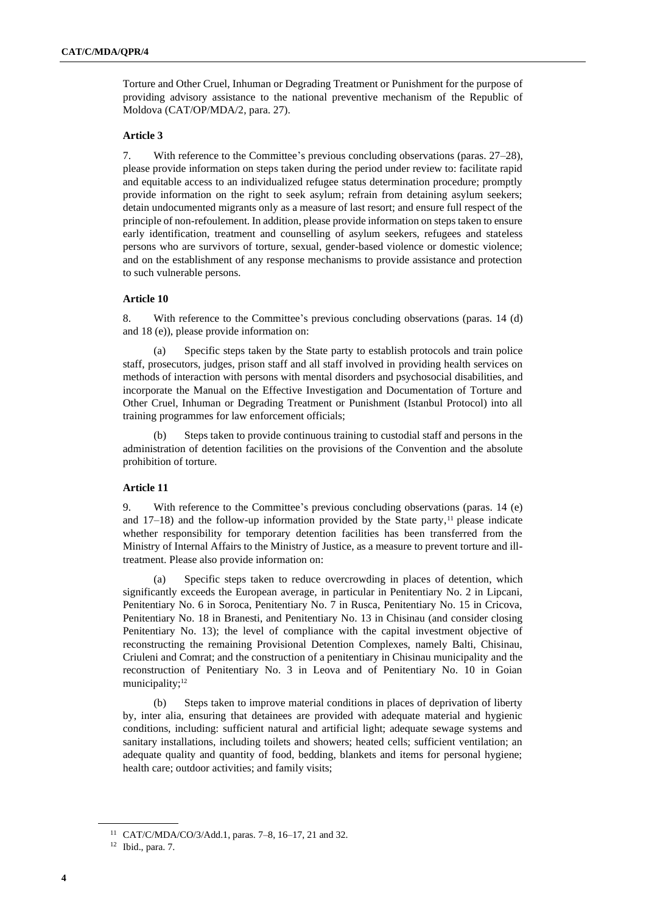Torture and Other Cruel, Inhuman or Degrading Treatment or Punishment for the purpose of providing advisory assistance to the national preventive mechanism of the Republic of Moldova (CAT/OP/MDA/2, para. 27).

#### **Article 3**

7. With reference to the Committee's previous concluding observations (paras. 27–28), please provide information on steps taken during the period under review to: facilitate rapid and equitable access to an individualized refugee status determination procedure; promptly provide information on the right to seek asylum; refrain from detaining asylum seekers; detain undocumented migrants only as a measure of last resort; and ensure full respect of the principle of non-refoulement. In addition, please provide information on steps taken to ensure early identification, treatment and counselling of asylum seekers, refugees and stateless persons who are survivors of torture, sexual, gender-based violence or domestic violence; and on the establishment of any response mechanisms to provide assistance and protection to such vulnerable persons.

#### **Article 10**

8. With reference to the Committee's previous concluding observations (paras. 14 (d) and 18 (e)), please provide information on:

(a) Specific steps taken by the State party to establish protocols and train police staff, prosecutors, judges, prison staff and all staff involved in providing health services on methods of interaction with persons with mental disorders and psychosocial disabilities, and incorporate the Manual on the Effective Investigation and Documentation of Torture and Other Cruel, Inhuman or Degrading Treatment or Punishment (Istanbul Protocol) into all training programmes for law enforcement officials;

Steps taken to provide continuous training to custodial staff and persons in the administration of detention facilities on the provisions of the Convention and the absolute prohibition of torture.

#### **Article 11**

9. With reference to the Committee's previous concluding observations (paras. 14 (e) and  $17-18$ ) and the follow-up information provided by the State party,<sup>11</sup> please indicate whether responsibility for temporary detention facilities has been transferred from the Ministry of Internal Affairs to the Ministry of Justice, as a measure to prevent torture and illtreatment. Please also provide information on:

(a) Specific steps taken to reduce overcrowding in places of detention, which significantly exceeds the European average, in particular in Penitentiary No. 2 in Lipcani, Penitentiary No. 6 in Soroca, Penitentiary No. 7 in Rusca, Penitentiary No. 15 in Cricova, Penitentiary No. 18 in Branesti, and Penitentiary No. 13 in Chisinau (and consider closing Penitentiary No. 13); the level of compliance with the capital investment objective of reconstructing the remaining Provisional Detention Complexes, namely Balti, Chisinau, Criuleni and Comrat; and the construction of a penitentiary in Chisinau municipality and the reconstruction of Penitentiary No. 3 in Leova and of Penitentiary No. 10 in Goian municipality;<sup>12</sup>

(b) Steps taken to improve material conditions in places of deprivation of liberty by, inter alia, ensuring that detainees are provided with adequate material and hygienic conditions, including: sufficient natural and artificial light; adequate sewage systems and sanitary installations, including toilets and showers; heated cells; sufficient ventilation; an adequate quality and quantity of food, bedding, blankets and items for personal hygiene; health care; outdoor activities; and family visits;

<sup>11</sup> CAT/C/MDA/CO/3/Add.1, paras. 7–8, 16–17, 21 and 32.

<sup>12</sup> Ibid., para. 7.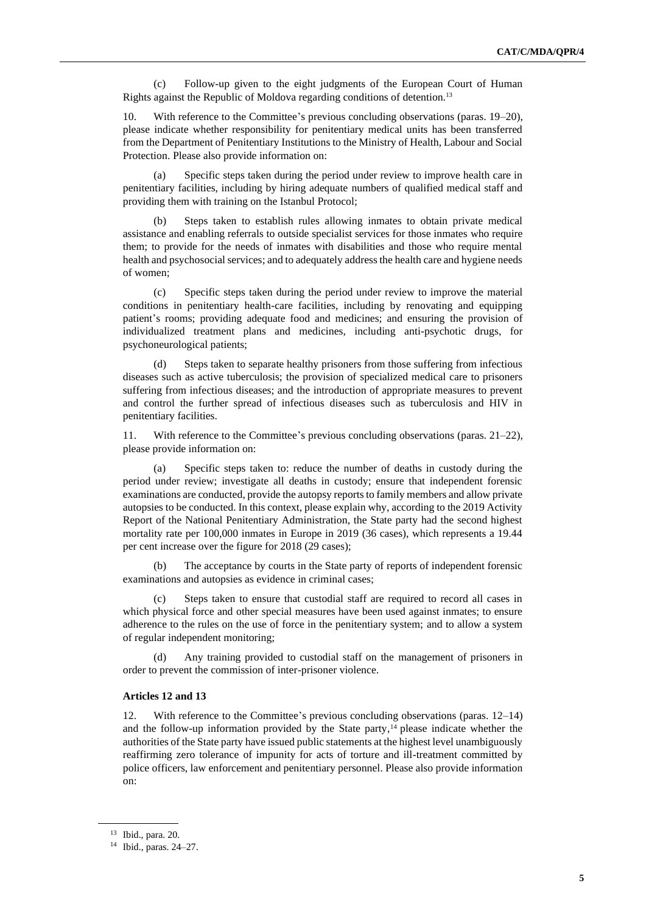(c) Follow-up given to the eight judgments of the European Court of Human Rights against the Republic of Moldova regarding conditions of detention.<sup>13</sup>

10. With reference to the Committee's previous concluding observations (paras. 19–20), please indicate whether responsibility for penitentiary medical units has been transferred from the Department of Penitentiary Institutions to the Ministry of Health, Labour and Social Protection. Please also provide information on:

(a) Specific steps taken during the period under review to improve health care in penitentiary facilities, including by hiring adequate numbers of qualified medical staff and providing them with training on the Istanbul Protocol;

(b) Steps taken to establish rules allowing inmates to obtain private medical assistance and enabling referrals to outside specialist services for those inmates who require them; to provide for the needs of inmates with disabilities and those who require mental health and psychosocial services; and to adequately address the health care and hygiene needs of women;

(c) Specific steps taken during the period under review to improve the material conditions in penitentiary health-care facilities, including by renovating and equipping patient's rooms; providing adequate food and medicines; and ensuring the provision of individualized treatment plans and medicines, including anti-psychotic drugs, for psychoneurological patients;

(d) Steps taken to separate healthy prisoners from those suffering from infectious diseases such as active tuberculosis; the provision of specialized medical care to prisoners suffering from infectious diseases; and the introduction of appropriate measures to prevent and control the further spread of infectious diseases such as tuberculosis and HIV in penitentiary facilities.

With reference to the Committee's previous concluding observations (paras.  $21-22$ ), please provide information on:

(a) Specific steps taken to: reduce the number of deaths in custody during the period under review; investigate all deaths in custody; ensure that independent forensic examinations are conducted, provide the autopsy reports to family members and allow private autopsies to be conducted. In this context, please explain why, according to the 2019 Activity Report of the National Penitentiary Administration, the State party had the second highest mortality rate per 100,000 inmates in Europe in 2019 (36 cases), which represents a 19.44 per cent increase over the figure for 2018 (29 cases);

(b) The acceptance by courts in the State party of reports of independent forensic examinations and autopsies as evidence in criminal cases;

(c) Steps taken to ensure that custodial staff are required to record all cases in which physical force and other special measures have been used against inmates; to ensure adherence to the rules on the use of force in the penitentiary system; and to allow a system of regular independent monitoring;

Any training provided to custodial staff on the management of prisoners in order to prevent the commission of inter-prisoner violence.

#### **Articles 12 and 13**

12. With reference to the Committee's previous concluding observations (paras. 12–14) and the follow-up information provided by the State party,<sup>14</sup> please indicate whether the authorities of the State party have issued public statements at the highest level unambiguously reaffirming zero tolerance of impunity for acts of torture and ill-treatment committed by police officers, law enforcement and penitentiary personnel. Please also provide information on:

<sup>13</sup> Ibid., para. 20.

<sup>14</sup> Ibid., paras. 24–27.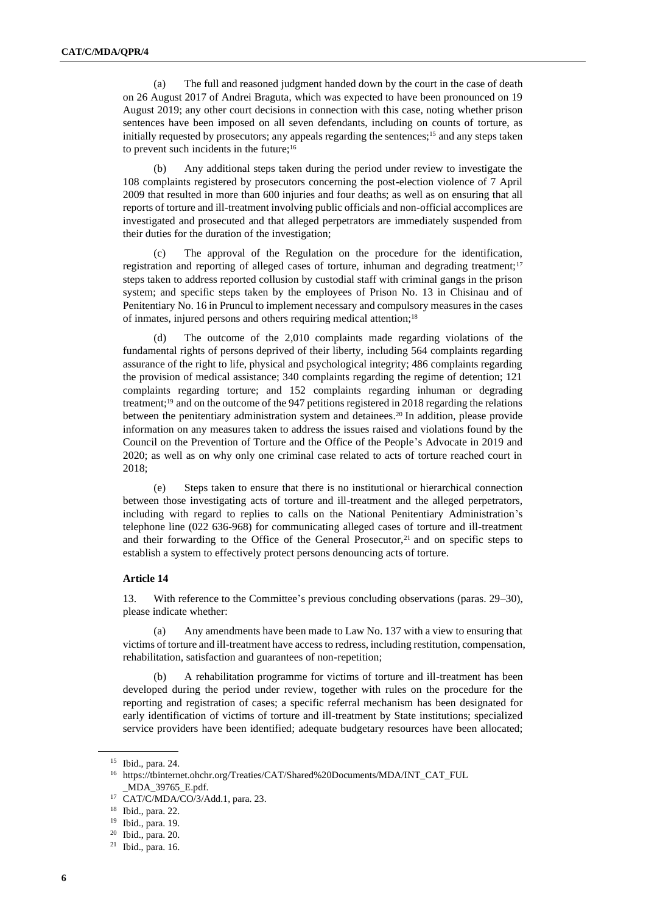(a) The full and reasoned judgment handed down by the court in the case of death on 26 August 2017 of Andrei Braguta, which was expected to have been pronounced on 19 August 2019; any other court decisions in connection with this case, noting whether prison sentences have been imposed on all seven defendants, including on counts of torture, as initially requested by prosecutors; any appeals regarding the sentences;<sup>15</sup> and any steps taken to prevent such incidents in the future;<sup>16</sup>

(b) Any additional steps taken during the period under review to investigate the 108 complaints registered by prosecutors concerning the post-election violence of 7 April 2009 that resulted in more than 600 injuries and four deaths; as well as on ensuring that all reports of torture and ill-treatment involving public officials and non-official accomplices are investigated and prosecuted and that alleged perpetrators are immediately suspended from their duties for the duration of the investigation;

(c) The approval of the Regulation on the procedure for the identification, registration and reporting of alleged cases of torture, inhuman and degrading treatment;<sup>17</sup> steps taken to address reported collusion by custodial staff with criminal gangs in the prison system; and specific steps taken by the employees of Prison No. 13 in Chisinau and of Penitentiary No. 16 in Pruncul to implement necessary and compulsory measures in the cases of inmates, injured persons and others requiring medical attention;<sup>18</sup>

The outcome of the 2,010 complaints made regarding violations of the fundamental rights of persons deprived of their liberty, including 564 complaints regarding assurance of the right to life, physical and psychological integrity; 486 complaints regarding the provision of medical assistance; 340 complaints regarding the regime of detention; 121 complaints regarding torture; and 152 complaints regarding inhuman or degrading treatment;<sup>19</sup> and on the outcome of the 947 petitions registered in 2018 regarding the relations between the penitentiary administration system and detainees. <sup>20</sup> In addition, please provide information on any measures taken to address the issues raised and violations found by the Council on the Prevention of Torture and the Office of the People's Advocate in 2019 and 2020; as well as on why only one criminal case related to acts of torture reached court in 2018;

(e) Steps taken to ensure that there is no institutional or hierarchical connection between those investigating acts of torture and ill-treatment and the alleged perpetrators, including with regard to replies to calls on the National Penitentiary Administration's telephone line (022 636-968) for communicating alleged cases of torture and ill-treatment and their forwarding to the Office of the General Prosecutor, $21$  and on specific steps to establish a system to effectively protect persons denouncing acts of torture.

#### **Article 14**

13. With reference to the Committee's previous concluding observations (paras. 29–30), please indicate whether:

(a) Any amendments have been made to Law No. 137 with a view to ensuring that victims of torture and ill-treatment have access to redress, including restitution, compensation, rehabilitation, satisfaction and guarantees of non-repetition;

(b) A rehabilitation programme for victims of torture and ill-treatment has been developed during the period under review, together with rules on the procedure for the reporting and registration of cases; a specific referral mechanism has been designated for early identification of victims of torture and ill-treatment by State institutions; specialized service providers have been identified; adequate budgetary resources have been allocated;

<sup>15</sup> Ibid., para. 24.

<sup>16</sup> https://tbinternet.ohchr.org/Treaties/CAT/Shared%20Documents/MDA/INT\_CAT\_FUL \_MDA\_39765\_E.pdf.

<sup>17</sup> CAT/C/MDA/CO/3/Add.1, para. 23.

<sup>18</sup> Ibid., para. 22.

<sup>19</sup> Ibid., para. 19.

<sup>20</sup> Ibid., para. 20.

 $21$  Ibid., para. 16.